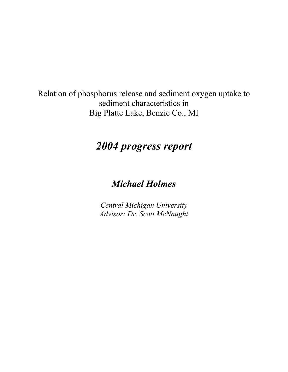Relation of phosphorus release and sediment oxygen uptake to sediment characteristics in Big Platte Lake, Benzie Co., MI

# *2004 progress report*

# *Michael Holmes*

*Central Michigan University Advisor: Dr. Scott McNaught*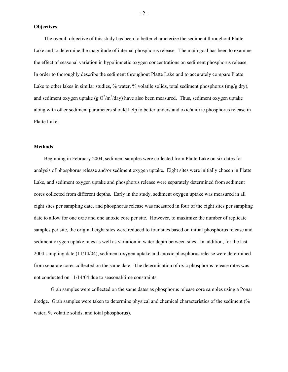**Objectives** 

The overall objective of this study has been to better characterize the sediment throughout Platte Lake and to determine the magnitude of internal phosphorus release. The main goal has been to examine the effect of seasonal variation in hypolimnetic oxygen concentrations on sediment phosphorus release. In order to thoroughly describe the sediment throughout Platte Lake and to accurately compare Platte Lake to other lakes in similar studies, % water, % volatile solids, total sediment phosphorus (mg/g dry), and sediment oxygen uptake (g  $O^2/m^2$ /day) have also been measured. Thus, sediment oxygen uptake along with other sediment parameters should help to better understand oxic/anoxic phosphorus release in Platte Lake.

#### **Methods**

Beginning in February 2004, sediment samples were collected from Platte Lake on six dates for analysis of phosphorus release and/or sediment oxygen uptake. Eight sites were initially chosen in Platte Lake, and sediment oxygen uptake and phosphorus release were separately determined from sediment cores collected from different depths. Early in the study, sediment oxygen uptake was measured in all eight sites per sampling date, and phosphorus release was measured in four of the eight sites per sampling date to allow for one oxic and one anoxic core per site. However, to maximize the number of replicate samples per site, the original eight sites were reduced to four sites based on initial phosphorus release and sediment oxygen uptake rates as well as variation in water depth between sites. In addition, for the last 2004 sampling date (11/14/04), sediment oxygen uptake and anoxic phosphorus release were determined from separate cores collected on the same date. The determination of oxic phosphorus release rates was not conducted on 11/14/04 due to seasonal/time constraints.

Grab samples were collected on the same dates as phosphorus release core samples using a Ponar dredge. Grab samples were taken to determine physical and chemical characteristics of the sediment (% water, % volatile solids, and total phosphorus).

- 2 -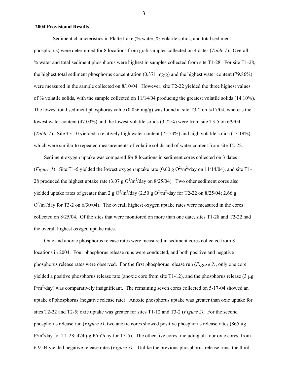### **2004 Provisional Results**

Sediment characteristics in Platte Lake (% water, % volatile solids, and total sediment phosphorus) were determined for 8 locations from grab samples collected on 4 dates (*Table 1*). Overall, % water and total sediment phosphorus were highest in samples collected from site T1-28. For site T1-28, the highest total sediment phosphorus concentration (0.371 mg/g) and the highest water content (79.86%) were measured in the sample collected on 8/10/04. However, site T2-22 yielded the three highest values of % volatile solids, with the sample collected on 11/14/04 producing the greatest volatile solids (14.10%). The lowest total sediment phosphorus value (0.056 mg/g) was found at site T3-2 on 5/17/04, whereas the lowest water content (47.03%) and the lowest volatile solids (3.72%) were from site T3-5 on 6/9/04 (*Table 1*). Site T3-10 yielded a relatively high water content (75.53%) and high volatile solids (13.19%), which were similar to repeated measurements of volatile solids and of water content from site T2-22.

Sediment oxygen uptake was compared for 8 locations in sediment cores collected on 3 dates (*Figure 1*). Site T1-5 yielded the lowest oxygen uptake rate (0.60 g  $O^2/m^2$ /day on 11/14/04), and site T1-28 produced the highest uptake rate  $(3.07 \text{ g O}^2/\text{m}^2/\text{day on } 8/25/04)$ . Two other sediment cores also yielded uptake rates of greater than 2 g  $O^2/m^2$ /day (2.50 g  $O^2/m^2$ /day for T2-22 on 8/25/04; 2.66 g  $O^2/m^2$ /day for T3-2 on 6/30/04). The overall highest oxygen uptake rates were measured in the cores collected on 8/25/04. Of the sites that were monitored on more than one date, sites T1-28 and T2-22 had the overall highest oxygen uptake rates.

Oxic and anoxic phosphorus release rates were measured in sediment cores collected from 8 locations in 2004. Four phosphorus release runs were conducted, and both positive and negative phosphorus release rates were observed. For the first phosphorus release run (*Figure 2)*, only one core yielded a positive phosphorus release rate (anoxic core from site  $T1-12$ ), and the phosphorus release (3  $\mu$ g  $P/m^2$ /day) was comparatively insignificant. The remaining seven cores collected on 5-17-04 showed an uptake of phosphorus (negative release rate). Anoxic phosphorus uptake was greater than oxic uptake for sites T2-22 and T2-5; oxic uptake was greater for sites T1-12 and T3-2 (*Figure 2).* For the second phosphorus release run (*Figure 3)*, two anoxic cores showed positive phosphorus release rates (865 µg  $P/m^2$ /day for T1-28; 474 µg  $P/m^2$ /day for T3-5). The other five cores, including all four oxic cores, from 6-9-04 yielded negative release rates (*Figure 3)*. Unlike the previous phosphorus release runs, the third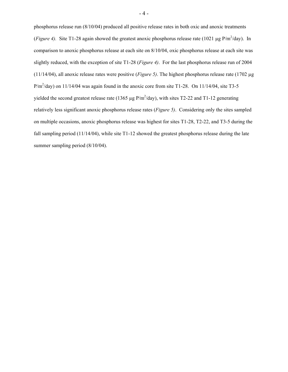phosphorus release run (8/10/04) produced all positive release rates in both oxic and anoxic treatments (*Figure 4*). Site T1-28 again showed the greatest anoxic phosphorus release rate (1021 µg P/m<sup>2</sup>/day). In comparison to anoxic phosphorus release at each site on 8/10/04, oxic phosphorus release at each site was slightly reduced, with the exception of site T1-28 (*Figure 4)*. For the last phosphorus release run of 2004 (11/14/04), all anoxic release rates were positive (*Figure 5)*. The highest phosphorus release rate (1702 µg  $P/m^2$ /day) on 11/14/04 was again found in the anoxic core from site T1-28. On 11/14/04, site T3-5 yielded the second greatest release rate (1365  $\mu$ g P/m<sup>2</sup>/day), with sites T2-22 and T1-12 generating relatively less significant anoxic phosphorus release rates (*Figure 5)*. Considering only the sites sampled on multiple occasions, anoxic phosphorus release was highest for sites T1-28, T2-22, and T3-5 during the fall sampling period (11/14/04), while site T1-12 showed the greatest phosphorus release during the late summer sampling period (8/10/04).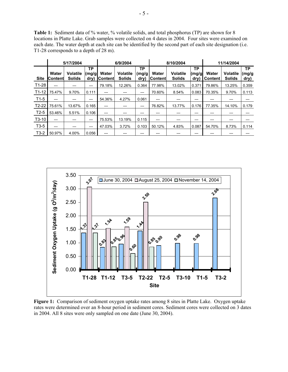**Table 1:** Sediment data of % water, % volatile solids, and total phosphorus (TP) are shown for 8 locations in Platte Lake. Grab samples were collected on 4 dates in 2004. Four sites were examined on each date. The water depth at each site can be identified by the second part of each site designation (i.e. T1-28 corresponds to a depth of 28 m).

l,

|             | 5/17/2004                |                           |                       | 6/9/2004                 |                                  |                      | 8/10/2004        |                                  |                      | 11/14/2004              |                                  |                     |
|-------------|--------------------------|---------------------------|-----------------------|--------------------------|----------------------------------|----------------------|------------------|----------------------------------|----------------------|-------------------------|----------------------------------|---------------------|
| <b>Site</b> | Water<br><b>IContent</b> | Volatile<br><b>Solids</b> | TP.<br>(mg/gl<br>dry) | Water<br><b>IContent</b> | <b>Volatile</b><br><b>Solids</b> | ТP<br>(mg/g <br>dry) | Water<br>Content | <b>Volatile</b><br><b>Solids</b> | ТP<br>(mg/gl<br>dry) | Water<br><b>Content</b> | <b>Volatile</b><br><b>Solids</b> | TP<br>(mg/g<br>dry) |
| T1-28       | ---                      |                           | ---                   | 79.18%                   | 12.26%                           | 0.364                | 77.98%           | 13.02%                           | 0.371                | 79.86%                  | 13.25%                           | 0.359               |
| $T1-12$     | 75.47%                   | 9.70%                     | 0.111                 | ---                      |                                  | ---                  | 70.60%           | 8.54%                            | 0.083                | 70.35%                  | 9.70%                            | 0.113               |
| $T1-5$      | ---                      |                           | ---                   | 54.36%                   | 4.27%                            | 0.061                | ---              |                                  | ---                  | ---                     |                                  | ---                 |
| $T2-22$     | 75.61%                   | 13.67%                    | 0.165                 | ---                      |                                  | ---                  | 76.82%           | 13.77%                           | 0.176                | 77.35%                  | 14.10%                           | 0.179               |
| $T2-5$      | 53.46%                   | 5.51%                     | 0.106                 | ---                      |                                  | ---                  | ---              |                                  | ---                  | ---                     |                                  |                     |
| $T3-10$     | ---                      |                           | ---                   | 75.53%                   | 13.19%                           | 0.115                | ---              | ---                              | ---                  | ---                     |                                  |                     |
| $T3-5$      | ---                      | ---                       | ---                   | 47.03%                   | 3.72%                            | 0.103                | 50.12%           | 4.83%                            | 0.087                | 54.70%                  | 8.73%                            | 0.114               |
| $T3-2$      | 50.97%                   | 4.00%                     | 0.056                 | ---                      |                                  | ---                  | ---              |                                  | ---                  | ---                     |                                  | ---                 |



**Figure 1:** Comparison of sediment oxygen uptake rates among 8 sites in Platte Lake. Oxygen uptake rates were determined over an 8-hour period in sediment cores. Sediment cores were collected on 3 dates in 2004. All 8 sites were only sampled on one date (June 30, 2004).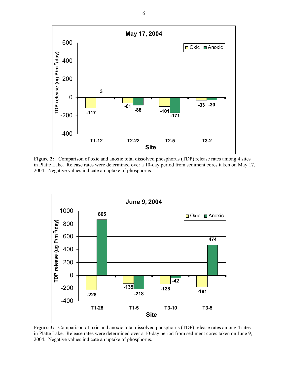

**Figure 2:** Comparison of oxic and anoxic total dissolved phosphorus (TDP) release rates among 4 sites in Platte Lake. Release rates were determined over a 10-day period from sediment cores taken on May 17, 2004. Negative values indicate an uptake of phosphorus.



**Figure 3:** Comparison of oxic and anoxic total dissolved phosphorus (TDP) release rates among 4 sites in Platte Lake. Release rates were determined over a 10-day period from sediment cores taken on June 9, 2004. Negative values indicate an uptake of phosphorus.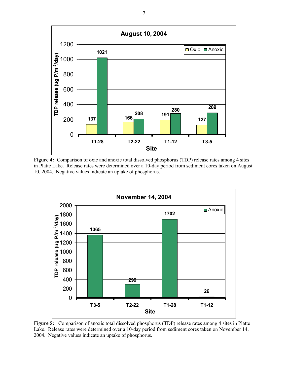

**Figure 4:** Comparison of oxic and anoxic total dissolved phosphorus (TDP) release rates among 4 sites in Platte Lake. Release rates were determined over a 10-day period from sediment cores taken on August 10, 2004. Negative values indicate an uptake of phosphorus.



**Figure 5:** Comparison of anoxic total dissolved phosphorus (TDP) release rates among 4 sites in Platte Lake. Release rates were determined over a 10-day period from sediment cores taken on November 14, 2004. Negative values indicate an uptake of phosphorus.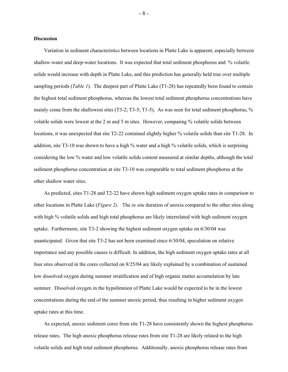## **Discussion**

 Variation in sediment characteristics between locations in Platte Lake is apparent, especially between shallow-water and deep-water locations. It was expected that total sediment phosphorus and % volatile solids would increase with depth in Platte Lake, and this prediction has generally held true over multiple sampling periods (*Table 1*). The deepest part of Platte Lake (T1-28) has repeatedly been found to contain the highest total sediment phosphorus, whereas the lowest total sediment phosphorus concentrations have mainly come from the shallowest sites (T3-2; T3-5; T1-5). As was seen for total sediment phosphorus, % volatile solids were lowest at the 2 m and 5 m sites. However, comparing % volatile solids between locations, it was unexpected that site T2-22 contained slightly higher % volatile solids than site T1-28. In addition, site T3-10 was shown to have a high % water and a high % volatile solids, which is surprising considering the low % water and low volatile solids content measured at similar depths, although the total sediment phosphorus concentration at site T3-10 was comparable to total sediment phosphorus at the other shallow water sites.

 As predicted, sites T1-28 and T2-22 have shown high sediment oxygen uptake rates in comparison to other locations in Platte Lake (*Figure 2).* The *in situ* duration of anoxia compared to the other sites along with high % volatile solids and high total phosphorus are likely interrelated with high sediment oxygen uptake. Furthermore, site T3-2 showing the highest sediment oxygen uptake on 6/30/04 was unanticipated. Given that site T3-2 has not been examined since 6/30/04, speculation on relative importance and any possible causes is difficult. In addition, the high sediment oxygen uptake rates at all four sites observed in the cores collected on 8/25/04 are likely explained by a combination of sustained low dissolved oxygen during summer stratification and of high organic matter accumulation by late summer. Dissolved oxygen in the hypolimnion of Platte Lake would be expected to be in the lowest concentrations during the end of the summer anoxic period, thus resulting in higher sediment oxygen uptake rates at this time.

As expected, anoxic sediment cores from site T1-28 have consistently shown the highest phosphorus release rates. The high anoxic phosphorus release rates from site T1-28 are likely related to the high volatile solids and high total sediment phosphorus. Additionally, anoxic phosphorus release rates from

- 8 -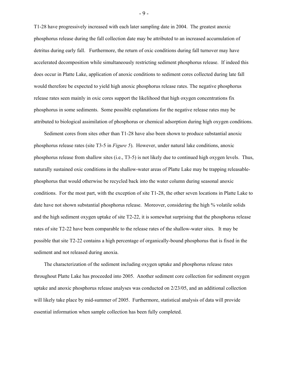T1-28 have progressively increased with each later sampling date in 2004. The greatest anoxic phosphorus release during the fall collection date may be attributed to an increased accumulation of detritus during early fall. Furthermore, the return of oxic conditions during fall turnover may have accelerated decomposition while simultaneously restricting sediment phosphorus release. If indeed this does occur in Platte Lake, application of anoxic conditions to sediment cores collected during late fall would therefore be expected to yield high anoxic phosphorus release rates. The negative phosphorus release rates seen mainly in oxic cores support the likelihood that high oxygen concentrations fix phosphorus in some sediments. Some possible explanations for the negative release rates may be attributed to biological assimilation of phosphorus or chemical adsorption during high oxygen conditions.

Sediment cores from sites other than T1-28 have also been shown to produce substantial anoxic phosphorus release rates (site T3-5 in *Figure 5*). However, under natural lake conditions, anoxic phosphorus release from shallow sites (i.e., T3-5) is not likely due to continued high oxygen levels. Thus, naturally sustained oxic conditions in the shallow-water areas of Platte Lake may be trapping releasablephosphorus that would otherwise be recycled back into the water column during seasonal anoxic conditions. For the most part, with the exception of site T1-28, the other seven locations in Platte Lake to date have not shown substantial phosphorus release. Moreover, considering the high % volatile solids and the high sediment oxygen uptake of site T2-22, it is somewhat surprising that the phosphorus release rates of site T2-22 have been comparable to the release rates of the shallow-water sites. It may be possible that site T2-22 contains a high percentage of organically-bound phosphorus that is fixed in the sediment and not released during anoxia.

The characterization of the sediment including oxygen uptake and phosphorus release rates throughout Platte Lake has proceeded into 2005. Another sediment core collection for sediment oxygen uptake and anoxic phosphorus release analyses was conducted on 2/23/05, and an additional collection will likely take place by mid-summer of 2005. Furthermore, statistical analysis of data will provide essential information when sample collection has been fully completed.

- 9 -